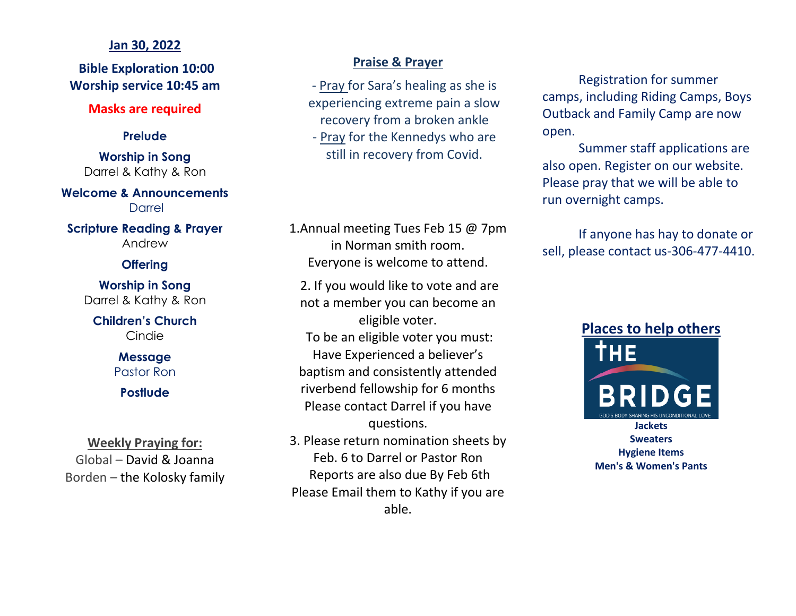## **Jan 30, 2022**

**Bible Exploration 10:00 Worship service 10:45 am**

## **Masks are required**

## **Prelude**

**Worship in Song** Darrel & Kathy & Ron

**Welcome & Announcements** Darrel

**Scripture Reading & Prayer** Andrew

## **Offering**

**Worship in Song** Darrel & Kathy & Ron

**Children's Church** Cindie

> **Message** Pastor Ron

## **Postlude**

**Weekly Praying for:** Global – David & Joanna Borden – the Kolosky family

## **Praise & Prayer**

- Pray for Sara's healing as she is experiencing extreme pain a slow recovery from a broken ankle

- Pray for the Kennedys who are still in recovery from Covid.

1.Annual meeting Tues Feb 15 @ 7pm in Norman smith room. Everyone is welcome to attend.

2. If you would like to vote and are not a member you can become an eligible voter. To be an eligible voter you must: Have Experienced a believer's baptism and consistently attended riverbend fellowship for 6 months Please contact Darrel if you have questions.

3. Please return nomination sheets by Feb. 6 to Darrel or Pastor Ron Reports are also due By Feb 6th Please Email them to Kathy if you are able.

Registration for summer camps, including Riding Camps, Boys Outback and Family Camp are now open.

Summer staff applications are also open. Register on our website. Please pray that we will be able to run overnight camps.

If anyone has hay to donate or sell, please contact us-306-477-4410.